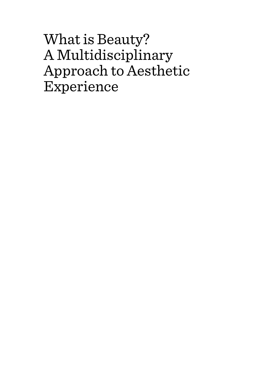What is Beauty? A Multidisciplinary Approach to Aesthetic Experience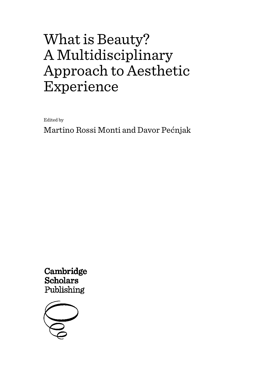# What is Beauty? A Multidisciplinary Approach to Aesthetic Experience

Edited by

Martino Rossi Monti and Davor Pećnjak

Cambridge **Scholars** Publishing

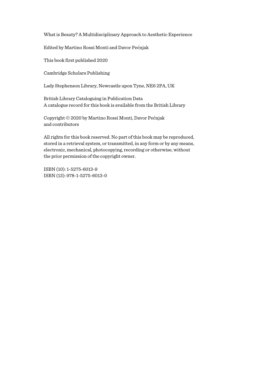What is Beauty? A Multidisciplinary Approach to Aesthetic Experience

Edited by Martino Rossi Monti and Davor Pećnjak

This book first published 2020

Cambridge Scholars Publishing

Lady Stephenson Library, Newcastle upon Tyne, NE6 2PA, UK

British Library Cataloguing in Publication Data A catalogue record for this book is available from the British Library

Copyright © 2020 by Martino Rossi Monti, Davor Pećnjak and contributors

All rights for this book reserved. No part of this book may be reproduced, stored in a retrieval system, or transmitted, in any form or by any means, electronic, mechanical, photocopying, recording or otherwise, without the prior permission of the copyright owner.

ISBN (10): 1-5275-6013-9 ISBN (13): 978-1-5275-6013-0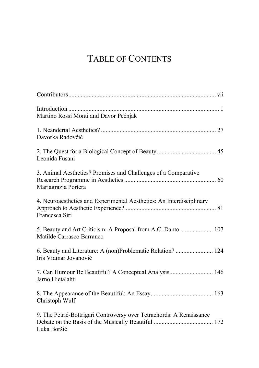## TABLE OF CONTENTS

| Martino Rossi Monti and Davor Pećnjak                                                     |
|-------------------------------------------------------------------------------------------|
| Davorka Radovčić                                                                          |
| Leonida Fusani                                                                            |
| 3. Animal Aesthetics? Promises and Challenges of a Comparative<br>Mariagrazia Portera     |
| 4. Neuroaesthetics and Experimental Aesthetics: An Interdisciplinary<br>Francesca Siri    |
| 5. Beauty and Art Criticism: A Proposal from A.C. Danto  107<br>Matilde Carrasco Barranco |
| 6. Beauty and Literature: A (non)Problematic Relation?  124<br>Iris Vidmar Jovanović      |
| 7. Can Humour Be Beautiful? A Conceptual Analysis 146<br>Jarno Hietalahti                 |
| Christoph Wulf                                                                            |
| 9. The Petrić-Bottrigari Controversy over Tetrachords: A Renaissance<br>Luka Boršić       |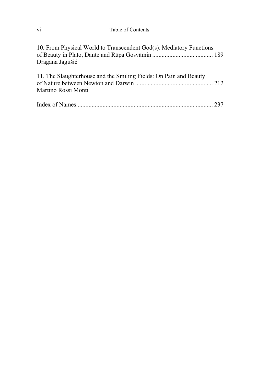| V1 | Table of Contents |
|----|-------------------|
|    |                   |

| 10. From Physical World to Transcendent God(s): Mediatory Functions<br>Dragana Jagušić   |  |
|------------------------------------------------------------------------------------------|--|
| 11. The Slaughterhouse and the Smiling Fields: On Pain and Beauty<br>Martino Rossi Monti |  |
|                                                                                          |  |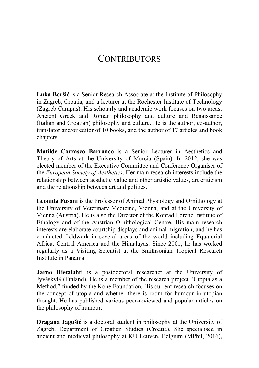## **CONTRIBUTORS**

**Luka Boršić** is a Senior Research Associate at the Institute of Philosophy in Zagreb, Croatia, and a lecturer at the Rochester Institute of Technology (Zagreb Campus). His scholarly and academic work focuses on two areas: Ancient Greek and Roman philosophy and culture and Renaissance (Italian and Croatian) philosophy and culture. He is the author, co-author, translator and/or editor of 10 books, and the author of 17 articles and book chapters.

**Matilde Carrasco Barranco** is a Senior Lecturer in Aesthetics and Theory of Arts at the University of Murcia (Spain). In 2012, she was elected member of the Executive Committee and Conference Organiser of the *European Society of Aesthetics*. Her main research interests include the relationship between aesthetic value and other artistic values, art criticism and the relationship between art and politics.

**Leonida Fusani** is the Professor of Animal Physiology and Ornithology at the University of Veterinary Medicine, Vienna, and at the University of Vienna (Austria). He is also the Director of the Konrad Lorenz Institute of Ethology and of the Austrian Ornithological Centre. His main research interests are elaborate courtship displays and animal migration, and he has conducted fieldwork in several areas of the world including Equatorial Africa, Central America and the Himalayas. Since 2001, he has worked regularly as a Visiting Scientist at the Smithsonian Tropical Research Institute in Panama.

**Jarno Hietalahti** is a postdoctoral researcher at the University of Jyväskylä (Finland). He is a member of the research project "Utopia as a Method," funded by the Kone Foundation. His current research focuses on the concept of utopia and whether there is room for humour in utopian thought. He has published various peer-reviewed and popular articles on the philosophy of humour.

**Dragana Jagušić** is a doctoral student in philosophy at the University of Zagreb, Department of Croatian Studies (Croatia). She specialised in ancient and medieval philosophy at KU Leuven, Belgium (MPhil, 2016),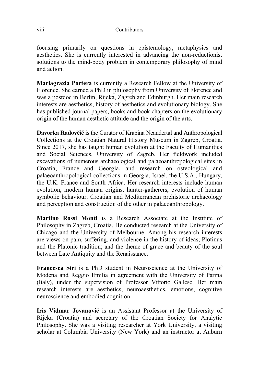#### viii Contributors

focusing primarily on questions in epistemology, metaphysics and aesthetics. She is currently interested in advancing the non-reductionist solutions to the mind-body problem in contemporary philosophy of mind and action.

**Mariagrazia Portera** is currently a Research Fellow at the University of Florence. She earned a PhD in philosophy from University of Florence and was a postdoc in Berlin, Rijeka, Zagreb and Edinburgh. Her main research interests are aesthetics, history of aesthetics and evolutionary biology. She has published journal papers, books and book chapters on the evolutionary origin of the human aesthetic attitude and the origin of the arts.

**Davorka Radovčić** is the Curator of Krapina Neandertal and Anthropological Collections at the Croatian Natural History Museum in Zagreb, Croatia. Since 2017, she has taught human evolution at the Faculty of Humanities and Social Sciences, University of Zagreb. Her fieldwork included excavations of numerous archaeological and palaeoanthropological sites in Croatia, France and Georgia, and research on osteological and palaeoanthropological collections in Georgia, Israel, the U.S.A., Hungary, the U.K. France and South Africa. Her research interests include human evolution, modern human origins, hunter-gatherers, evolution of human symbolic behaviour, Croatian and Mediterranean prehistoric archaeology and perception and construction of the other in palaeoanthropology.

**Martino Rossi Monti** is a Research Associate at the Institute of Philosophy in Zagreb, Croatia. He conducted research at the University of Chicago and the University of Melbourne. Among his research interests are views on pain, suffering, and violence in the history of ideas; Plotinus and the Platonic tradition; and the theme of grace and beauty of the soul between Late Antiquity and the Renaissance.

**Francesca Siri** is a PhD student in Neuroscience at the University of Modena and Reggio Emilia in agreement with the University of Parma (Italy), under the supervision of Professor Vittorio Gallese. Her main research interests are aesthetics, neuroaesthetics, emotions, cognitive neuroscience and embodied cognition.

**Iris Vidmar Jovanović** is an Assistant Professor at the University of Rijeka (Croatia) and secretary of the Croatian Society for Analytic Philosophy. She was a visiting researcher at York University, a visiting scholar at Columbia University (New York) and an instructor at Auburn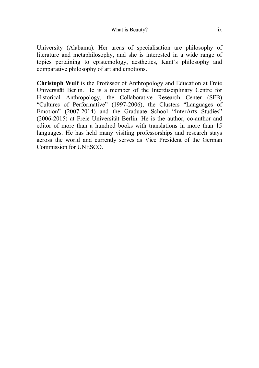University (Alabama). Her areas of specialisation are philosophy of literature and metaphilosophy, and she is interested in a wide range of topics pertaining to epistemology, aesthetics, Kant's philosophy and comparative philosophy of art and emotions.

**Christoph Wulf** is the Professor of Anthropology and Education at Freie Universität Berlin. He is a member of the Interdisciplinary Centre for Historical Anthropology, the Collaborative Research Center (SFB) "Cultures of Performative" (1997-2006), the Clusters "Languages of Emotion" (2007-2014) and the Graduate School "InterArts Studies" (2006-2015) at Freie Universität Berlin. He is the author, co-author and editor of more than a hundred books with translations in more than 15 languages. He has held many visiting professorships and research stays across the world and currently serves as Vice President of the German Commission for UNESCO.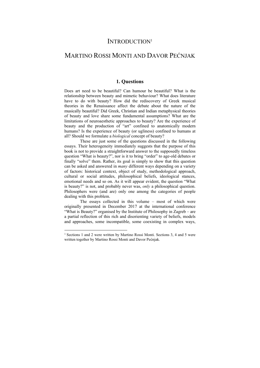## INTRODUCTION<sup>1</sup>

## MARTINO ROSSI MONTI AND DAVOR PEĆNJAK

#### **1. Questions**

Does art need to be beautiful? Can humour be beautiful? What is the relationship between beauty and mimetic behaviour? What does literature have to do with beauty? How did the rediscovery of Greek musical theories in the Renaissance affect the debate about the nature of the musically beautiful? Did Greek, Christian and Indian metaphysical theories of beauty and love share some fundamental assumptions? What are the limitations of neuroaesthetic approaches to beauty? Are the experience of beauty and the production of "art" confined to anatomically modern humans? Is the experience of beauty (or ugliness) confined to humans at all? Should we formulate a *biological* concept of beauty?

These are just some of the questions discussed in the following essays. Their heterogeneity immediately suggests that the purpose of this book is not to provide a straightforward answer to the supposedly timeless question "What is beauty?", nor is it to bring "order" to age-old debates or finally "solve" them. Rather, its goal is simply to show that this question can be asked and answered in *many* different ways depending on a variety of factors: historical context, object of study, methodological approach, cultural or social attitudes, philosophical beliefs, ideological stances, emotional needs and so on. As it will appear evident, the question "What is beauty?" is not, and probably never was, *only* a philosophical question. Philosophers were (and are) only one among the categories of people dealing with this problem.

The essays collected in this volume – most of which were originally presented in December 2017 at the international conference "What is Beauty?" organised by the Institute of Philosophy in Zagreb – are a partial reflection of this rich and disorienting variety of beliefs, models and approaches, some incompatible, some coexisting in complex ways,

<sup>1</sup> Sections 1 and 2 were written by Martino Rossi Monti. Sections 3, 4 and 5 were written together by Martino Rossi Monti and Davor Pećnjak.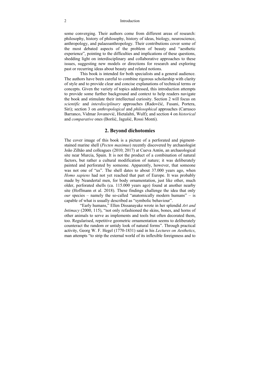some converging. Their authors come from different areas of research: philosophy, history of philosophy, history of ideas, biology, neuroscience, anthropology, and palaeoanthropology. Their contributions cover some of the most debated aspects of the problem of beauty and "aesthetic experience", pointing to the difficulties and implications of these questions, shedding light on interdisciplinary and collaborative approaches to these issues, suggesting new models or directions for research and exploring past or recurring ideas about beauty and related notions.

This book is intended for both specialists and a general audience. The authors have been careful to combine rigorous scholarship with clarity of style and to provide clear and concise explanations of technical terms or concepts. Given the variety of topics addressed, this introduction attempts to provide some further background and context to help readers navigate the book and stimulate their intellectual curiosity. Section 2 will focus on *scientific* and *interdisciplinary* approaches (Radovčić, Fusani, Portera, Siri); section 3 on *anthropological* and *philosophical* approaches (Carrasco Barranco, Vidmar Jovanović, Hietalahti, Wulf); and section 4 on *historical* and *comparative* ones (Boršić, Jagušić, Rossi Monti).

#### **2. Beyond dichotomies**

The cover image of this book is a picture of a perforated and pigmentstained marine shell (*Pecten maximus*) recently discovered by archaeologist João Zilhão and colleagues (2010; 2017) at Cueva Antón, an archaeological site near Murcia, Spain. It is not the product of a combination of natural factors, but rather a cultural modification of nature; it was deliberately painted and perforated by someone. Apparently, however, that someone was not one of "us". The shell dates to about 37.000 years ago, when *Homo sapiens* had not yet reached that part of Europe. It was probably made by Neandertal men, for body ornamentation, just like other, much older, perforated shells (ca. 115.000 years ago) found at another nearby site (Hoffmann et al. 2018). These findings challenge the idea that only *our* species – namely the so-called "anatomically modern humans" – is capable of what is usually described as "symbolic behaviour".

"Early humans," Ellen Dissanayake wrote in her splendid *Art and Intimacy* (2000, 115), "not only refashioned the skins, bones, and horns of other animals to serve as implements and tools but often decorated them, too. Regularised, repetitive geometric ornamentation seems to deliberately counteract the random or untidy look of natural forms". Through practical activity, Georg W. F. Hegel (1770-1831) said in his *Lectures on Aesthetics*, man attempts "to strip the external world of its inflexible foreignness and to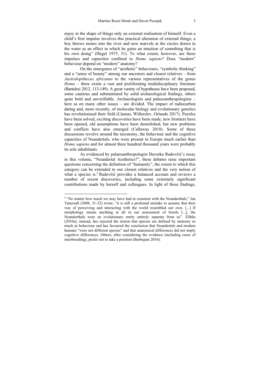enjoy in the shape of things only an external realisation of himself. Even a child's first impulse involves this practical alteration of external things; a boy throws stones into the river and now marvels at the circles drawn in the water as an effect in which he gains an intuition of something that is his own doing" (Hegel 1975, 31). To what extent, however, are these impulses and capacities confined to *Homo sapiens*? Does "modern" behaviour depend on "modern" anatomy?

On the emergence of "aesthetic" behaviours, "symbolic thinking" and a "sense of beauty" among our ancestors and closest relatives – from *Australopithecus africanus* to the various representatives of the genus *Homo* – there exists a vast and proliferating multidisciplinary literature (Bartalesi 2012, 113-149). A great variety of hypotheses have been proposed, some cautious and substantiated by solid archaeological findings, others quite bold and unverifiable. Archaeologists and palaeoanthropologists – here as on many other issues – are divided. The impact of radiocarbon dating and, more recently, of molecular biology and evolutionary genetics has revolutionised their field (Llamas, Willerslev, Orlando 2017). Puzzles have been solved, exciting discoveries have been made, new frontiers have been opened, old assumptions have been demolished, but new problems and conflicts have also emerged (Callaway 2018). Some of these discussions revolve around the taxonomy, the behaviour and the cognitive capacities of Neandertals, who were present in Europe much earlier than *Homo sapiens* and for almost three hundred thousand years were probably its sole inhabitants.

As evidenced by palaeoanthropologist Davorka Radovčić's essay in this volume, "Neandertal Aesthetics?", these debates raise important questions concerning the definition of "humanity", the extent to which this category can be extended to our closest relatives and the very notion of what a species is.2 Radovčić provides a balanced account and reviews a number of recent discoveries, including some extremely significant contributions made by herself and colleagues. In light of these findings,

<sup>&</sup>lt;sup>2</sup> "No matter how much we may have had in common with the Neanderthals," Ian Tattersall (2008, 31-32) wrote, "it is still a profound mistake to assume that their way of perceiving and interacting with the world resembled our own. [...] If morphology means anything at all in our assessment of fossils [...], the Neanderthals were an evolutionary entity entirely separate from us". Zilhão (2010a), instead, has rejected the notion that species are defined by anatomy as much as behaviour and has favoured the conclusion that Neandertals and modern humans "were not different species" and that anatomical differences did not imply cognitive differences. Others, after considering the evidence (including cases of interbreeding), prefer not to take a position (Barbujani 2016).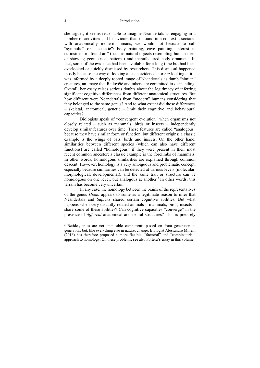she argues, it seems reasonable to imagine Neandertals as engaging in a number of activities and behaviours that, if found in a context associated with anatomically modern humans, we would not hesitate to call "symbolic" or "aesthetic": body painting, cave painting, interest in curiosities or "found art" (such as natural objects resembling human form or showing geometrical patterns) and manufactured body ornament. In fact, some of the evidence had been available for a long time but had been overlooked or quickly dismissed by researchers. This dismissal happened mostly because the way of looking at such evidence – or *not* looking at it – was informed by a deeply rooted image of Neandertals as dumb "simian" creatures, an image that Radovčić and others are committed to dismantling. Overall, her essay raises serious doubts about the legitimacy of inferring significant cognitive differences from different anatomical structures. But how different were Neandertals from "modern" humans considering that they belonged to the same genus? And to what extent did those differences – skeletal, anatomical, genetic – limit their cognitive and behavioural capacities?

Biologists speak of "convergent evolution" when organisms not closely related – such as mammals, birds or insects – independently develop similar features over time. These features are called "analogous" because they have similar form or function, but different origins; a classic example is the wings of bats, birds and insects. On the other hand, similarities between different species (which can also have different functions) are called "homologous" if they were present in their most recent common ancestor; a classic example is the forelimbs of mammals. In other words, homologous similarities are explained through common descent. However, homology is a very ambiguous and problematic concept, especially because similarities can be detected at various levels (molecular, morphological, developmental), and the same trait or structure can be homologous on one level, but analogous at another.<sup>3</sup> In other words, this terrain has become very uncertain.

In any case, the homology between the brains of the representatives of the genus *Homo* appears to some as a legitimate reason to infer that Neandertals and *Sapiens* shared certain cognitive abilities. But what happens when very distantly related animals – mammals, birds, insects – share some of these abilities? Can cognitive capacities "converge" in the presence of *different* anatomical and neural structures? This is precisely

<sup>&</sup>lt;sup>3</sup> Besides, traits are not immutable components passed on from generation to generation, but, like everything else in nature, change. Biologist Alessandro Minelli (2016) has therefore proposed a more flexible, "factorial" and "combinatorial" approach to homology. On these problems, see also Portera's essay in this volume.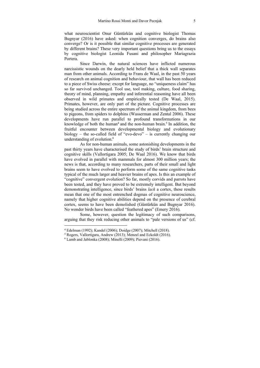what neuroscientist Onur Güntürkün and cognitive biologist Thomas Bugnyar (2016) have asked: when cognition converges, do brains also converge? Or is it possible that similar cognitive processes are generated by different brains? These very important questions bring us to the essays by cognitive biologist Leonida Fusani and philosopher Mariagrazia Portera.

Since Darwin, the natural sciences have inflicted numerous narcissistic wounds on the dearly held belief that a thick wall separates man from other animals. According to Frans de Waal, in the past 50 years of research on animal cognition and behaviour, that wall has been reduced to a piece of Swiss cheese: except for language, no "uniqueness claim" has so far survived unchanged. Tool use, tool making, culture, food sharing, theory of mind, planning, empathy and inferential reasoning have all been observed in wild primates and empirically tested (De Waal, 2015). Primates, however, are only part of the picture. Cognitive processes are being studied across the entire spectrum of the animal kingdom, from bees to pigeons, from spiders to dolphins (Wasserman and Zental 2006). These developments have run parallel to profound transformations in our knowledge of both the human<sup>4</sup> and the non-human brain.<sup>5</sup> In addition, the fruitful encounter between developmental biology and evolutionary biology – the so-called field of "evo-devo" – is currently changing our understanding of evolution.<sup>6</sup>

As for non-human animals, some astonishing developments in the past thirty years have characterised the study of birds' brain structure and cognitive skills (Vallortigara 2005; De Waal 2016). We know that birds have evolved in parallel with mammals for almost 300 million years; the news is that, according to many researchers, parts of their small and light brains seem to have evolved to perform some of the same cognitive tasks typical of the much larger and heavier brains of apes. Is this an example of "cognitive" convergent evolution? So far, mostly corvids and parrots have been tested, and they have proved to be extremely intelligent. But beyond demonstrating intelligence, since birds' brains *lack* a cortex, these results mean that one of the most entrenched dogmas of cognitive neuroscience, namely that higher cognitive abilities depend on the presence of cerebral cortex, seems to have been demolished (Güntürkün and Bugnyar 2016). No wonder birds have been called "feathered apes" (Emery 2016).

Some, however, question the legitimacy of such comparisons, arguing that they risk reducing other animals to "pale versions of us" (cf.

<sup>&</sup>lt;sup>4</sup> Edelman (1992); Kandel (2006); Doidge (2007); Mitchell (2018).<br><sup>5</sup> Rogers, Vallortigara, Andrew (2013); Menzel and Eckoldt (2016).

 $6$  Lamb and Jablonka (2008); Minelli (2009); Pievani (2016).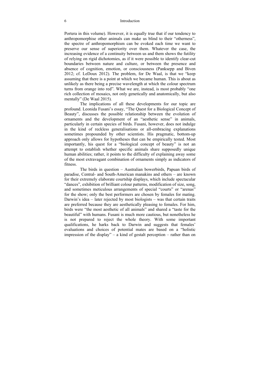Portera in this volume). However, it is equally true that if our tendency to anthropomorphise other animals can make us blind to their "otherness", the spectre of anthropomorphism can be evoked each time we want to preserve our sense of superiority over them. Whatever the case, the increasing evidence of a continuity between us and them shows the futility of relying on rigid dichotomies, as if it were possible to identify clear-cut boundaries between nature and culture, or between the presence and absence of cognition, emotion, or consciousness (Panksepp and Biven 2012; cf. LeDoux 2012). The problem, for De Waal, is that we "keep assuming that there is a point at which we became human. This is about as unlikely as there being a precise wavelength at which the colour spectrum turns from orange into red". What we are, instead, is most probably "one rich collection of mosaics, not only genetically and anatomically, but also mentally" (De Waal 2015).

The implications of all these developments for our topic are profound. Leonida Fusani's essay, "The Quest for a Biological Concept of Beauty", discusses the possible relationship between the evolution of ornaments and the development of an "aesthetic sense" in animals, particularly in certain species of birds. Fusani, however, does not indulge in the kind of reckless generalisations or all-embracing explanations sometimes propounded by other scientists. His pragmatic, bottom-up approach only allows for hypotheses that can be empirically tested. Most importantly, his quest for a "biological concept of beauty" is not an attempt to establish whether specific animals share supposedly unique human abilities; rather, it points to the difficulty of explaining away some of the most extravagant combination of ornaments simply as indicators of fitness.

The birds in question – Australian bowerbirds, Papuan birds of paradise, Central- and South-American manakins and others – are known for their extremely elaborate courtship displays, which include spectacular "dances", exhibition of brilliant colour patterns, modification of size, song, and sometimes meticulous arrangements of special "courts" or "arenas" for the show; only the best performers are chosen by females for mating. Darwin's idea – later rejected by most biologists – was that certain traits are preferred because they are aesthetically pleasing to females. For him, birds were "the most aesthetic of all animals" and shared a "taste for the beautiful" with humans. Fusani is much more cautious, but nonetheless he is not prepared to reject the whole theory. With some important qualifications, he harks back to Darwin and suggests that females' evaluations and choices of potential mates are based on a "holistic impression of the display" – a kind of gestalt perception – rather than on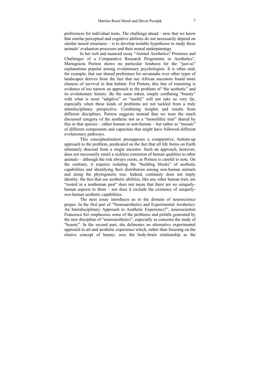preferences for individual traits. The challenge ahead – now that we know that similar perceptual and cognitive abilities do not necessarily depend on similar neural structures – is to develop testable hypotheses to study these animals' evaluation processes and their neural underpinnings.

In her rich and nuanced essay "Animal Aesthetics? Promises and Challenges of a Comparative Research Programme in Aesthetics", Mariagrazia Portera shows no particular fondness for the "just-so" explanations popular among evolutionary psychologists. It is often said, for example, that our shared preference for savannahs over other types of landscapes derives from the fact that our African ancestors found more chances of survival in that habitat. For Portera, this line of reasoning is evidence of too narrow an approach to the problem of "the aesthetic" and its evolutionary history. By the same token, simply conflating "beauty" with what is most "adaptive" or "useful" will not take us very far, especially when these kinds of problems are not tackled from a truly interdisciplinary perspective. Combining insights and results from different disciplines, Portera suggests instead that we treat the much discussed category of the aesthetic not as a "monolithic trait" shared by this or that species – either human or non-human – but rather as "mosaic" of different components and capacities that might have followed different evolutionary pathways.

This conceptualisation presupposes a comparative, bottom-up approach to the problem, predicated on the fact that all life forms on Earth ultimately descend from a single ancestor. Such an approach, however, does not necessarily entail a reckless extension of human qualities to other animals – although the risk always exists, as Portera is careful to note. On the contrary, it requires isolating the "building blocks" of aesthetic capabilities and identifying their distribution among non-human animals and along the phylogenetic tree. Indeed, continuity does not imply identity: the fact that our aesthetic abilities, like any other human trait, are "rooted in a nonhuman past" does not mean that there are no uniquelyhuman aspects to them – nor does it exclude the existence of uniquely*non*-human aesthetic capabilities.

The next essay introduces us to the domain of neuroscience proper. In the first part of "Neuroaesthetics and Experimental Aesthetics: An Interdisciplinary Approach to Aesthetic Experience?", neuroscientist Francesca Siri emphasises some of the problems and pitfalls generated by the new discipline of "neuroaesthetics", especially as concerns the study of "beauty". In the second part, she delineates an alternative experimental approach to art and aesthetic experience which, rather than focusing on the elusive concept of beauty, sees the body-brain relationship as the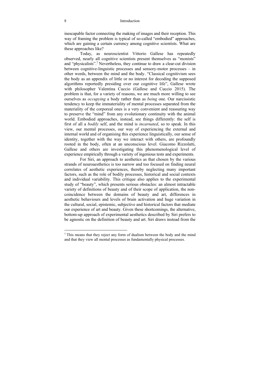inescapable factor connecting the making of images and their reception. This way of framing the problem is typical of so-called "embodied" approaches, which are gaining a certain currency among cognitive scientists. What are these approaches like?

Today, as neuroscientist Vittorio Gallese has repeatedly observed, nearly all cognitive scientists present themselves as "monists" and "physicalists".7 Nevertheless, they continue to draw a clear-cut division between cognitive-linguistic processes and sensory-motor processes – in other words, between the mind and the body. "Classical cognitivism sees the body as an appendix of little or no interest for decoding the supposed algorithms reportedly presiding over our cognitive life", Gallese wrote with philosopher Valentina Cuccio (Gallese and Cuccio 2015). The problem is that, for a variety of reasons, we are much more willing to see ourselves as *occupying* a body rather than as *being* one. Our narcissistic tendency to keep the immateriality of mental processes separated from the materiality of the corporeal ones is a very convenient and reassuring way to preserve the "mind" from any evolutionary continuity with the animal world. Embodied approaches, instead, see things differently: the self is first of all a *bodily* self, and the mind is *incarnated*, so to speak. In this view, our mental processes, our way of experiencing the external and internal world and of organising this experience linguistically, our sense of identity, together with the way we interact with others, are profoundly rooted in the body, often at an unconscious level. Giacomo Rizzolatti, Gallese and others are investigating this phenomenological level of experience empirically through a variety of ingenious tests and experiments.

For Siri, an approach to aesthetics as that chosen by the various strands of neuroaesthetics is too narrow and too focused on finding neural correlates of aesthetic experiences, thereby neglecting many important factors, such as the role of bodily processes, historical and social contexts and individual variability. This critique also applies to the experimental study of "beauty", which presents serious obstacles: an almost intractable variety of definitions of beauty and of their scope of application, the noncoincidence between the domains of beauty and art, differences in aesthetic behaviours and levels of brain activation and huge variation in the cultural, social, epistemic, subjective and historical factors that mediate our experience of art and beauty. Given these shortcomings, the alternative, bottom-up approach of experimental aesthetics described by Siri prefers to be agnostic on the definition of beauty and art. Siri draws instead from the

<sup>7</sup> This means that they reject any form of dualism between the body and the mind and that they view all mental processes as fundamentally physical processes.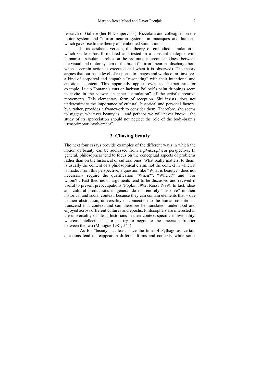research of Gallese (her PhD supervisor), Rizzolatti and colleagues on the motor system and "mirror neuron system" in macaques and humans, which gave rise to the theory of "embodied simulation".

In its aesthetic version, the theory of embodied simulation  $$ which Gallese has formulated and tested in a constant dialogue with humanistic scholars – relies on the profound interconnectedness between the visual and motor system of the brain ("mirror" neurons discharge both when a certain action is executed and when it is observed). The theory argues that our basic level of response to images and works of art involves a kind of corporeal and empathic "resonating" with their intentional and emotional content. This apparently applies even to abstract art; for example, Lucio Fontana's cuts or Jackson Pollock's paint drippings seem to invite in the viewer an inner "simulation" of the artist's creative movements. This elementary form of reception, Siri insists, does not underestimate the importance of cultural, historical and personal factors, but, rather, provides a framework to consider them. Therefore, she seems to suggest, whatever beauty is – and perhaps we will never know – the study of its appreciation should not neglect the role of the body-brain's "sensorimotor involvement".

#### **3. Chasing beauty**

The next four essays provide examples of the different ways in which the notion of beauty can be addressed from a *philosophical* perspective. In general, philosophers tend to focus on the conceptual aspects of problems rather than on the historical or cultural ones. What really matters, to them, is usually the content of a philosophical claim, not the context in which it is made. From this perspective, a question like "What is beauty?" does not necessarily require the qualification "When?", "Where?" and "For whom?". Past theories or arguments tend to be discussed and revived if useful to present preoccupations (Popkin 1992; Rossi 1999). In fact, ideas and cultural productions in general do not entirely "dissolve" in their historical and social context, because they can contain elements that – due to their abstraction, universality or connection to the human condition – transcend that context and can therefore be translated, understood and enjoyed across different cultures and epochs. Philosophers are interested in the universality of ideas, historians in their context-specific individuality, whereas intellectual historians try to negotiate the uncertain frontier between the two (Minogue 1981, 544).

As for "beauty", at least since the time of Pythagoras, certain questions tend to reappear in different forms and contexts, while some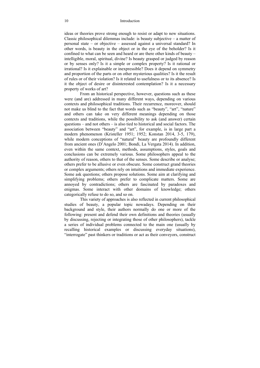ideas or theories prove strong enough to resist or adapt to new situations. Classic philosophical dilemmas include: is beauty subjective – a matter of personal state – or objective – assessed against a universal standard? In other words, is beauty in the object or in the eye of the beholder? Is it confined to what can be seen and heard or are there other kinds of beauty – intelligible, moral, spiritual, divine? Is beauty grasped or judged by reason or by senses only? Is it a simple or complex property? Is it rational or irrational? Is it explainable or inexpressible? Does it depend on symmetry and proportion of the parts or on other mysterious qualities? Is it the result of rules or of their violation? Is it related to usefulness or to its absence? Is it the object of desire or disinterested contemplation? Is it a necessary property of works of art?

From an historical perspective, however, questions such as these were (and are) addressed in many different ways, depending on various contexts and philosophical traditions. Their recurrence, moreover, should not make us blind to the fact that words such as "beauty", "art", "nature" and others can take on very different meanings depending on those contexts and traditions, while the possibility to ask (and answer) certain questions – and not others – is also tied to historical and social factors. The association between "beauty" and "art", for example, is in large part a modern phenomenon (Kristeller 1951; 1952; Konstan 2014, 3-5, 179), while modern conceptions of "natural" beauty are profoundly different from ancient ones (D'Angelo 2001; Bondí, La Vergata 2014). In addition, even within the same context, methods, assumptions, styles, goals and conclusions can be extremely various. Some philosophers appeal to the authority of reason, others to that of the senses. Some describe or analyse; others prefer to be allusive or even obscure. Some construct grand theories or complex arguments; others rely on intuitions and immediate experience. Some ask questions; others propose solutions. Some aim at clarifying and simplifying problems; others prefer to complicate matters. Some are annoyed by contradictions; others are fascinated by paradoxes and enigmas. Some interact with other domains of knowledge; others categorically refuse to do so, and so on.

This variety of approaches is also reflected in current philosophical studies of beauty, a popular topic nowadays. Depending on their background and style, their authors normally do one or more of the following: present and defend their own definitions and theories (usually by discussing, rejecting or integrating those of other philosophers), tackle a series of individual problems connected to the main one (usually by recalling historical examples or discussing everyday situations), "interrogate" past thinkers or traditions or act as their conveyors, construct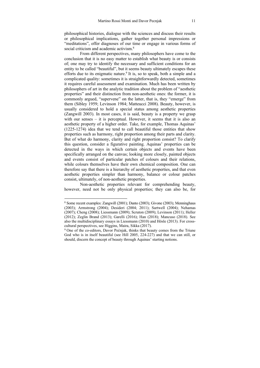philosophical histories, dialogue with the sciences and discuss their results or philosophical implications, gather together personal impressions or "meditations", offer diagnoses of our time or engage in various forms of social criticism and academic activism<sup>8</sup>

From different perspectives, many philosophers have come to the conclusion that it is no easy matter to establish what beauty is or consists of; one may try to identify the necessary and sufficient conditions for an entity to be called "beautiful", but it seems beauty ultimately escapes these efforts due to its enigmatic nature.<sup>9</sup> It is, so to speak, both a simple and a complicated quality: sometimes it is straightforwardly detected, sometimes it requires careful assessment and examination. Much has been written by philosophers of art in the analytic tradition about the problem of "aesthetic properties" and their distinction from non-aesthetic ones: the former, it is commonly argued, "supervene" on the latter, that is, they "emerge" from them (Sibley 1959; Levinson 1984; Matteucci 2008). Beauty, however, is usually considered to hold a special status among aesthetic properties (Zangwill 2003). In most cases, it is said, beauty is a property we grasp with our senses – it is perceptual. However, it seems that it is also an aesthetic property of a higher order. Take, for example, Thomas Aquinas' (1225-1274) idea that we tend to call beautiful those entities that show properties such as harmony, right proportion among their parts and clarity. But of what do harmony, clarity and right proportion consist? To clarify this question, consider a figurative painting. Aquinas' properties can be detected in the ways in which certain objects and events have been specifically arranged on the canvas; looking more closely, painted objects and events consist of particular patches of colours and their relations, while colours themselves have their own chemical composition. One can therefore say that there is a hierarchy of aesthetic properties, and that even aesthetic properties simpler than harmony, balance or colour patches consist, ultimately, of non-aesthetic properties.

Non-aesthetic properties relevant for comprehending beauty, however, need not be only physical properties; they can also be, for

<sup>8</sup> Some recent examples: Zangwill (2001); Danto (2003); Givone (2003); Menninghaus (2003); Armstrong (2004); Desideri (2004; 2011); Sartwell (2004); Nehamas (2007); Cheng (2008); Liessmann (2009); Scruton (2009); Levinson (2011); Heller (2012); Zeglin Brand (2013); Garelli (2016); Han (2018); Mancuso (2018). See also the multidisciplinary essays in Liessmann (2010) and Hösle (2013). For crosscultural perspectives, see Higgins, Maira, Sikka (2017).<br><sup>9</sup> One of the co-editors, Davor Pećnjak, thinks that beauty comes from the Triune

God who is in itself beautiful (see Hill 2005, 224-227) and that we can still, or should, discern the concept of beauty through Aquinas' starting notions.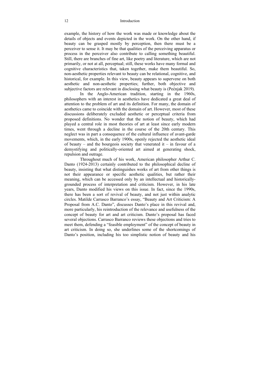example, the history of how the work was made or knowledge about the details of objects and events depicted in the work. On the other hand, if beauty can be grasped mostly by perception, then there must be a perceiver to sense it. It may be that qualities of the perceiving apparatus or process in the perceiver also contribute to calling something beautiful. Still, there are branches of fine art, like poetry and literature, which are not primarily, or not at all, perceptual; still, these works have many formal and cognitive characteristics that, taken together, make them beautiful. So, non-aesthetic properties relevant to beauty can be relational, cognitive, and historical, for example. In this view, beauty appears to supervene on both aesthetic and non-aesthetic properties; further, both objective and subjective factors are relevant in disclosing what beauty is (Pećnjak 2019).

In the Anglo-American tradition, starting in the 1960s, philosophers with an interest in aesthetics have dedicated a great deal of attention to the problem of art and its definition. For many, the domain of aesthetics came to coincide with the domain of art. However, most of these discussions deliberately excluded aesthetic or perceptual criteria from proposed definitions. No wonder that the notion of beauty, which had played a central role in most theories of art at least since early modern times, went through a decline in the course of the 20th century. This neglect was in part a consequence of the cultural influence of avant-garde movements, which, in the early 1900s, openly rejected the aesthetic ideal of beauty – and the bourgeois society that venerated it – in favour of a demystifying and politically-oriented art aimed at generating shock, repulsion and outrage.

Throughout much of his work, American philosopher Arthur C. Danto (1924-2013) certainly contributed to the philosophical decline of beauty, insisting that what distinguishes works of art from other things is not their appearance or specific aesthetic qualities, but rather their meaning, which can be accessed only by an intellectual and historicallygrounded process of interpretation and criticism. However, in his late years, Danto modified his views on this issue. In fact, since the 1990s, there has been a sort of revival of beauty, and not just within analytic circles. Matilde Carrasco Barranco's essay, "Beauty and Art Criticism: A Proposal from A.C. Danto", discusses Danto's place in this revival and, more particularly, his reintroduction of the relevance and usefulness of the concept of beauty for art and art criticism. Danto's proposal has faced several objections. Carrasco Barranco reviews these objections and tries to meet them, defending a "feasible employment" of the concept of beauty in art criticism. In doing so, she underlines some of the shortcomings of Danto's position, including his too simplistic notion of beauty and his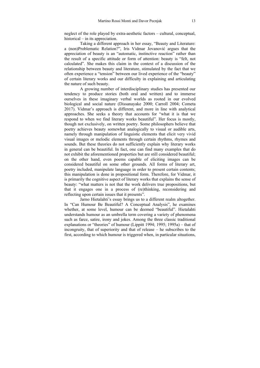neglect of the role played by extra-aesthetic factors – cultural, conceptual, historical – in its appreciation.

Taking a different approach in her essay, "Beauty and Literature: a (non)Problematic Relation?", Iris Vidmar Jovanović argues that the appreciation of beauty is an "automatic, instinctive reaction" rather than the result of a specific attitude or form of attention: beauty is "felt, not calculated". She makes this claim in the context of a discussion of the relationship between beauty and literature, stimulated by the fact that we often experience a "tension" between our lived experience of the "beauty" of certain literary works and our difficulty in explaining and articulating the nature of such beauty.

A growing number of interdisciplinary studies has presented our tendency to produce stories (both oral and written) and to immerse ourselves in these imaginary verbal worlds as rooted in our evolved biological and social nature (Dissanayake 2000; Carroll 2004; Cometa 2017). Vidmar's approach is different, and more in line with analytical approaches. She seeks a theory that accounts for "what it is that we respond to when we find literary works beautiful". Her focus is mostly, though not exclusively, on written poetry. Some philosophers believe that poetry achieves beauty somewhat analogically to visual or audible arts, namely through manipulation of linguistic elements that elicit very vivid visual images or melodic elements through certain rhythms, rhymes and sounds. But these theories do not sufficiently explain why literary works in general can be beautiful. In fact, one can find many examples that do not exhibit the aforementioned properties but are still considered beautiful; on the other hand, even poems capable of eliciting images can be considered beautiful on some other grounds. All forms of literary art, poetry included, manipulate language in order to present certain contents; this manipulation is done in propositional form. Therefore, for Vidmar, it is primarily the cognitive aspect of literary works that explains the sense of beauty: "what matters is not that the work delivers true propositions, but that it engages one in a process of (re)thinking, reconsidering and reflecting upon certain issues that it presents".

Jarno Hietalahti's essay brings us to a different realm altogether. In "Can Humour Be Beautiful? A Conceptual Analysis", he examines whether, at some level, humour can be deemed "beautiful". Hietalahti understands humour as an umbrella term covering a variety of phenomena such as farce, satire, irony and jokes. Among the three classic traditional explanations or "theories" of humour (Lippitt 1994; 1995; 1995a) – that of incongruity, that of superiority and that of release – he subscribes to the first, according to which humour is triggered when, in particular situations,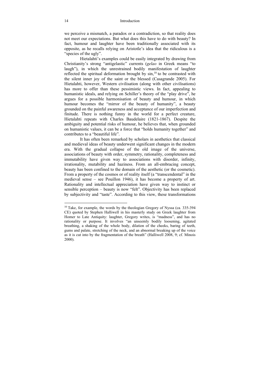we perceive a mismatch, a paradox or a contradiction, so that reality does not meet our expectations. But what does this have to do with beauty? In fact, humour and laughter have been traditionally associated with its opposite, as he recalls relying on Aristotle's idea that the ridiculous is a "species of the ugly".

Hietalahti's examples could be easily integrated by drawing from Christianity's strong "antigelastic" currents (*gelao* in Greek means "to laugh"), in which the unrestrained bodily manifestation of laughter reflected the spiritual deformation brought by  $\sin$ ,<sup>10</sup> to be contrasted with the silent inner joy of the saint or the blessed (Casagrande 2005). For Hietalahti, however, Western civilisation (along with other civilisations) has more to offer than these pessimistic views. In fact, appealing to humanistic ideals, and relying on Schiller's theory of the "play drive", he argues for a possible harmonisation of beauty and humour, in which humour becomes the "mirror of the beauty of humanity", a beauty grounded on the painful awareness and acceptance of our imperfection and finitude. There is nothing funny in the world for a perfect creature, Hietalahti repeats with Charles Baudelaire (1821-1867). Despite the ambiguity and potential risks of humour, he believes that, when grounded on humanistic values, it can be a force that "holds humanity together" and contributes to a "beautiful life".

It has often been remarked by scholars in aesthetics that classical and medieval ideas of beauty underwent significant changes in the modern era. With the gradual collapse of the old image of the universe, associations of beauty with order, symmetry, rationality, completeness and immutability have given way to associations with disorder, infinity, irrationality, mutability and haziness. From an all-embracing concept, beauty has been confined to the domain of the aesthetic (or the cosmetic). From a property of the cosmos or of reality itself (a "transcendental" in the medieval sense – see Pouillon 1946), it has become a property of art. Rationality and intellectual appreciation have given way to instinct or sensible perception – beauty is now "felt". Objectivity has been replaced by subjectivity and "taste". According to this view, these transformations

 $10$  Take, for example, the words by the theologian Gregory of Nyssa (ca. 335-394) CE) quoted by Stephen Halliwell in his masterly study on Greek laughter from Homer to Late Antiquity: laughter, Gregory writes, is "madness", and has no rationality or purpose. It involves "an unseemly bodily loosening, agitated breathing, a shaking of the whole body, dilation of the cheeks, baring of teeth, gums and palate, stretching of the neck, and an abnormal breaking up of the voice as it is cut into by the fragmentation of the breath" (Halliwell 2008, 9; cf. Minois 2000).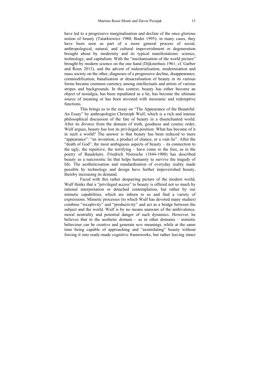have led to a progressive marginalisation and decline of the once glorious notion of beauty (Tatarkiewicz 1980; Bodei 1995); in many cases, they have been seen as part of a more general process of social, anthropological, natural, and cultural impoverishment or degeneration brought about by modernity and its typical manifestations: science, technology, and capitalism. With the "mechanisation of the world picture" brought by modern science on the one hand (Dijksterhuis 1961; cf. Garber and Roux 2013), and the advent of industrialisation, modernisation and mass society on the other, diagnoses of a progressive decline, disappearance, commodification, banalisation or desacralisation of beauty in its various forms became common currency among intellectuals and artists of various stripes and backgrounds. In this context, beauty has either become an object of nostalgia, has been repudiated as a lie, has become the ultimate source of meaning or has been invested with messianic and redemptive functions.

This brings us to the essay on "The Appearance of the Beautiful: An Essay" by anthropologist Christoph Wulf, which is a rich and intense philosophical discussion of the fate of beauty in a disenchanted world. After its divorce from the domain of truth, goodness and cosmic order, Wulf argues, beauty has lost its privileged position. What has become of it in such a world? The answer is that beauty has been reduced to mere "appearance": "an invention, a product of chance, or a vain lie". After the "death of God", the most ambiguous aspects of beauty – its connection to the ugly, the repulsive, the terrifying – have come to the fore, as in the poetry of Baudelaire. Friedrich Nietzsche (1844-1900) has described beauty as a narcissistic lie that helps humanity to survive the tragedy of life. The aestheticisation and standardisation of everyday reality made possible by technology and design have further impoverished beauty, thereby increasing its demand.

Faced with this rather despairing picture of the modern world, Wulf thinks that a "privileged access" to beauty is offered not so much by rational interpretation or detached contemplation, but rather by our mimetic capabilities, which are inborn to us and find a variety of expressions. Mimetic processes (to which Wulf has devoted many studies) combine "receptivity" and "productivity" and act as a bridge between the subject and the world. Wulf is by no means unaware of the ambivalence, moral neutrality and potential danger of such dynamics. However, he believes that in the aesthetic domain – as in other domains – mimetic behaviour can be creative and generate *new* meanings, while at the same time being capable of approaching and "assimilating" beauty without forcing it into ready-made cognitive frameworks, but rather leaving intact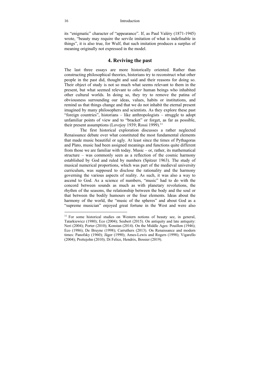its "enigmatic" character of "appearance". If, as Paul Valéry (1871-1945) wrote, "beauty may require the servile imitation of what is indefinable in things", it is also true, for Wulf, that such imitation produces a surplus of meaning originally not expressed in the model.

#### **4. Reviving the past**

The last three essays are more historically oriented. Rather than constructing philosophical theories, historians try to reconstruct what other people in the past did, thought and said and their reasons for doing so. Their object of study is not so much what seems relevant to them in the present, but what seemed relevant to *other* human beings who inhabited other cultural worlds. In doing so, they try to remove the patina of obviousness surrounding our ideas, values, habits or institutions, and remind us that things change and that we do not inhabit the eternal present imagined by many philosophers and scientists. As they explore these past "foreign countries", historians – like anthropologists – struggle to adopt unfamiliar points of view and to "bracket" or forget, as far as possible, their present assumptions (Lovejoy 1939; Rossi 1999).<sup>11</sup>

The first historical exploration discusses a rather neglected Renaissance debate over what constituted the most fundamental elements that made music beautiful or ugly. At least since the times of Pythagoras and Plato, music had been assigned meanings and functions quite different from those we are familiar with today. Music – or, rather, its mathematical structure – was commonly seen as a reflection of the cosmic harmony established by God and ruled by numbers (Spitzer 1963). The study of musical numerical proportions, which was part of the medieval university curriculum, was supposed to disclose the rationality and the harmony governing the various aspects of reality. As such, it was also a way to ascend to God. As a science of numbers, "music" had to do with the concord between sounds as much as with planetary revolutions, the rhythm of the seasons, the relationship between the body and the soul or that between the bodily humours or the four elements. Ideas about the harmony of the world, the "music of the spheres" and about God as a "supreme musician" enjoyed great fortune in the West and were also

<sup>&</sup>lt;sup>11</sup> For some historical studies on Western notions of beauty see, in general, Tatarkiewicz (1980); Eco (2004); Seubert (2015). On antiquity and late antiquity: Neri (2004); Porter (2010); Konstan (2014). On the Middle Ages: Pouillon (1946); Eco (1986); De Bruyne (1998); Carruthers (2013). On Renaissance and modern times: Panofsky (1960); Jäger (1990); Ames-Lewis and Rogers (1998); Vigarello (2004); Prettejohn (2010); Di Felice, Hendrix, Bossier (2019).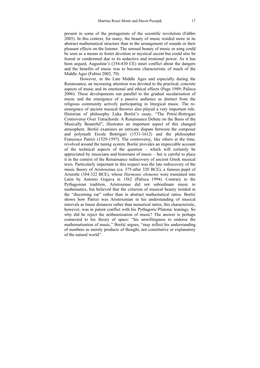present in some of the protagonists of the scientific revolution (Fabbri 2003). In this context, for many, the beauty of music resided more in its abstract mathematical structure than in the arrangement of sounds or their pleasant effects on the listener. The sensual beauty of music or song could be seen as a means to foster devotion or mystical ascent but could also be feared or condemned due to its seductive and irrational power. As it has been argued, Augustine's (354-430 CE) inner conflict about the dangers and the benefits of music was to become characteristic of much of the Middle Ages (Fubini 2002, 70).

However, in the Late Middle Ages and especially during the Renaissance, an increasing attention was devoted to the practical, concrete aspects of music and its emotional and ethical effects (Page 1989; Palisca 2006). These developments run parallel to the gradual secularisation of music and the emergence of a passive audience as distinct from the religious community actively participating in liturgical music. The reemergence of ancient musical theories also played a very important role. Historian of philosophy Luka Boršić's essay, "The Petrić-Bottrigari Controversy Over Tetrachords: A Renaissance Debate on the Basis of the Musically Beautiful", illustrates an important aspect of this changed atmosphere. Boršić examines an intricate dispute between the composer and polymath Ercole Bottrigari (1531-1612) and the philosopher Francesco Patrizi (1529-1597). The controversy, like others at the time, revolved around the tuning system. Boršić provides an impeccable account of the technical aspects of the question – which will certainly be appreciated by musicians and historians of music – but is careful to place it in the context of the Renaissance rediscovery of ancient Greek musical texts. Particularly important in this respect was the late rediscovery of the music theory of Aristoxenus (ca. 375-after 320 BCE), a famous pupil of Aristotle (384-322 BCE), whose *Harmonic elements* were translated into Latin by Antonio Gogava in 1562 (Palisca 1994). Contrary to the Pythagorean tradition, Aristoxenus did not subordinate music to mathematics, but believed that the criterion of musical beauty resided in the "discerning ear" rather than in abstract mathematical ratios. Boršić shows how Patrizi was Aristoxenian in his understanding of musical intervals as linear distances rather than numerical ratios; this characteristic, however, was in patent conflict with his Pythagoric-Platonic leanings. So why did he reject the arithmetisation of music? The answer is perhaps connected to his theory of space: "his unwillingness to endorse the mathematisation of music," Boršić argues, "may reflect his understanding of numbers as merely products of thought, not constitutive or explanatory of the natural world".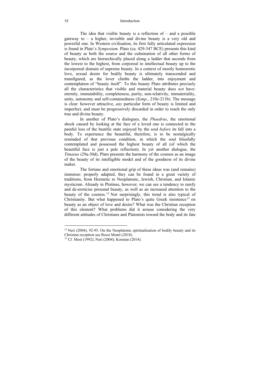The idea that visible beauty is a reflection of  $-$  and a possible gateway to – a higher, invisible and divine beauty is a very old and powerful one. In Western civilisation, its first fully articulated expression is found in Plato's *Symposium*. Plato (ca. 429-347 BCE) presents this kind of beauty as both the source and the culmination of all other forms of beauty, which are hierarchically placed along a ladder that ascends from the lowest to the highest, from corporeal to intellectual beauty up to the incorporeal domain of supreme beauty. In a context of mostly homoerotic love, sexual desire for bodily beauty is ultimately transcended and transfigured, as the lover climbs the ladder, into enjoyment and contemplation of "beauty itself". To this beauty Plato attributes precisely all the characteristics that visible and material beauty does *not* have: eternity, immutability, completeness, purity, non-relativity, immateriality, unity, autonomy and self-containedness (*Symp*., 210e-211b). The message is clear: however attractive, *any* particular form of beauty is limited and imperfect, and must be progressively discarded in order to reach the only true and divine beauty.

In another of Plato's dialogues, the *Phaedrus*, the emotional shock caused by looking at the face of a loved one is connected to the painful loss of the beatific state enjoyed by the soul *before* its fall into a body. To experience the beautiful, therefore, is to be nostalgically reminded of that previous condition, in which the soul blissfully contemplated and possessed the highest beauty of all (of which the beautiful face is just a pale reflection). In yet another dialogue, the *Timaeus* (29a-30d), Plato presents the harmony of the cosmos as an image of the beauty of its intelligible model and of the goodness of its divine maker.

The fortune and emotional grip of these ideas was (and remains) immense: properly adapted, they can be found in a great variety of traditions, from Hermetic to Neoplatonic, Jewish, Christian, and Islamic mysticism. Already in Plotinus, however, we can see a tendency to rarefy and de-eroticise personal beauty, as well as an increased attention to the beauty of the cosmos. 12 Not surprisingly, this trend is also typical of Christianity. But what happened to Plato's quite Greek insistence<sup>13</sup> on beauty as an object of love and desire? What was the Christian reception of this element? What problems did it arouse considering the very different attitudes of Christians and Platonists toward the body and its fate

 $12$  Neri (2004), 92-95. On the Neoplatonic spiritualisation of bodily beauty and its Christian reception see Rossi Monti (2018).

<sup>13</sup> Cf. Most (1992); Neri (2004); Konstan (2014).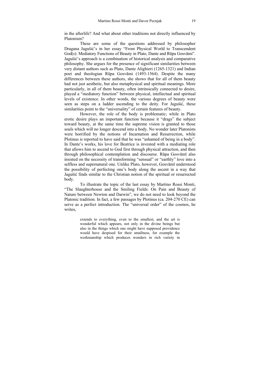in the afterlife? And what about other traditions not directly influenced by Platonism?

These are some of the questions addressed by philosopher Dragana Jagušić's in her essay "From Physical World to Transcendent God(s): Mediatory Functions of Beauty in Plato, Dante and Rūpa Gosvāmi". Jagušić's approach is a combination of historical analysis and comparative philosophy. She argues for the presence of significant similarities between very distant authors such as Plato, Dante Alighieri (1265-1321) and Indian poet and theologian Rūpa Gosvāmi (1493-1564). Despite the many differences between these authors, she shows that for all of them beauty had not just aesthetic, but also metaphysical and spiritual meanings. More particularly, in all of them beauty, often intrinsically connected to desire, played a "mediatory function" between physical, intellectual and spiritual levels of existence. In other words, the various degrees of beauty were seen as steps on a ladder ascending to the deity. For Jagušić, these similarities point to the "universality" of certain features of beauty.

However, the role of the body is problematic; while in Plato erotic desire plays an important function because it "drags" the subject toward beauty, at the same time the supreme vision is granted to those souls which will no longer descend into a body. No wonder later Platonists were horrified by the notions of Incarnation and Resurrection, while Plotinus is reported to have said that he was "ashamed of being in a body". In Dante's works, his love for Beatrice is invested with a mediating role that allows him to ascend to God first through physical attraction, and then through philosophical contemplation and discourse. Rūpa Gosvāmī also insisted on the necessity of transforming "sensual" or "earthly" love into a selfless and supernatural one. Unlike Plato, however, Gosvāmī understood the possibility of perfecting one's body along the ascent in a way that Jagušić finds similar to the Christian notion of the spiritual or resurrected body.

To illustrate the topic of the last essay by Martino Rossi Monti, "The Slaughterhouse and the Smiling Fields: On Pain and Beauty of Nature between Newton and Darwin", we do not need to look beyond the Platonic tradition. In fact, a few passages by Plotinus (ca. 204-270 CE) can serve as a perfect introduction. The "universal order" of the cosmos, he writes,

> extends to everything, even to the smallest, and the art is wonderful which appears, not only in the divine beings but also in the things which one might have supposed providence would have despised for their smallness, for example the workmanship which produces wonders in rich variety in